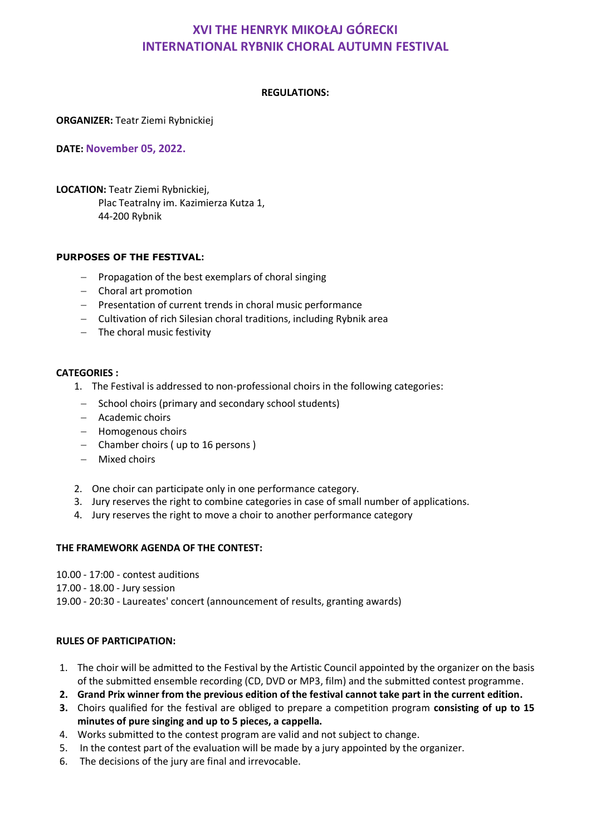# **XVI THE HENRYK MIKOŁAJ GÓRECKI INTERNATIONAL RYBNIK CHORAL AUTUMN FESTIVAL**

#### **REGULATIONS:**

**ORGANIZER:** Teatr Ziemi Rybnickiej

**DATE: November 05, 2022.**

**LOCATION:** Teatr Ziemi Rybnickiej, Plac Teatralny im. Kazimierza Kutza 1, 44-200 Rybnik

#### **PURPOSES OF THE FESTIVAL:**

- $-$  Propagation of the best exemplars of choral singing
- Choral art promotion
- Presentation of current trends in choral music performance
- Cultivation of rich Silesian choral traditions, including Rybnik area
- $-$  The choral music festivity

#### **CATEGORIES :**

- 1. The Festival is addressed to non-professional choirs in the following categories:
- $-$  School choirs (primary and secondary school students)
- Academic choirs
- Homogenous choirs
- Chamber choirs (up to 16 persons)
- Mixed choirs
- 2. One choir can participate only in one performance category.
- 3. Jury reserves the right to combine categories in case of small number of applications.
- 4. Jury reserves the right to move a choir to another performance category

## **THE FRAMEWORK AGENDA OF THE CONTEST:**

- 10.00 17:00 contest auditions
- 17.00 18.00 Jury session
- 19.00 20:30 Laureates' concert (announcement of results, granting awards)

#### **RULES OF PARTICIPATION:**

- 1. The choir will be admitted to the Festival by the Artistic Council appointed by the organizer on the basis of the submitted ensemble recording (CD, DVD or MP3, film) and the submitted contest programme.
- **2. Grand Prix winner from the previous edition of the festival cannot take part in the current edition.**
- **3.** Choirs qualified for the festival are obliged to prepare a competition program **consisting of up to 15 minutes of pure singing and up to 5 pieces, a cappella.**
- 4. Works submitted to the contest program are valid and not subject to change.
- 5. In the contest part of the evaluation will be made by a jury appointed by the organizer.
- 6. The decisions of the jury are final and irrevocable.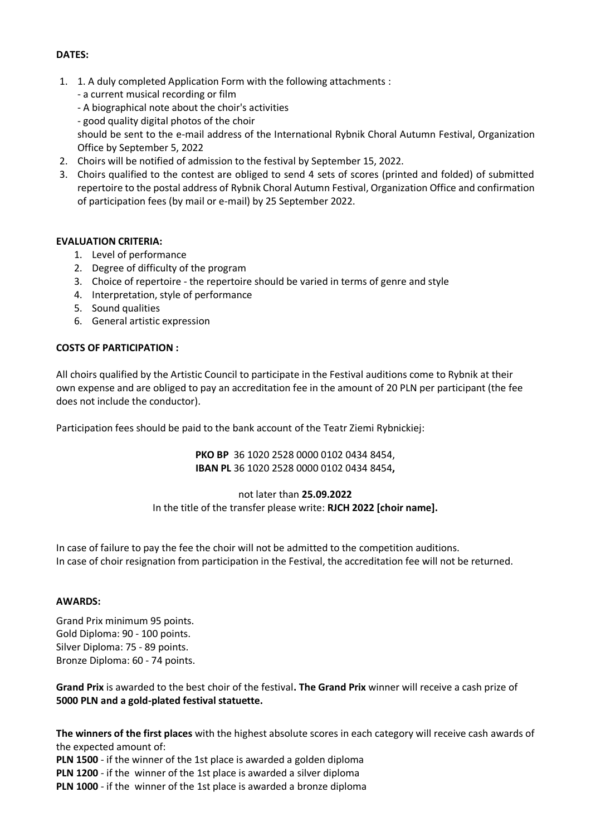### **DATES:**

- 1. 1. A duly completed Application Form with the following attachments :
	- a current musical recording or film
	- A biographical note about the choir's activities
	- good quality digital photos of the choir

should be sent to the e-mail address of the International Rybnik Choral Autumn Festival, Organization Office by September 5, 2022

- 2. Choirs will be notified of admission to the festival by September 15, 2022.
- 3. Choirs qualified to the contest are obliged to send 4 sets of scores (printed and folded) of submitted repertoire to the postal address of Rybnik Choral Autumn Festival, Organization Office and confirmation of participation fees (by mail or e-mail) by 25 September 2022.

#### **EVALUATION CRITERIA:**

- 1. Level of performance
- 2. Degree of difficulty of the program
- 3. Choice of repertoire the repertoire should be varied in terms of genre and style
- 4. Interpretation, style of performance
- 5. Sound qualities
- 6. General artistic expression

#### **COSTS OF PARTICIPATION :**

All choirs qualified by the Artistic Council to participate in the Festival auditions come to Rybnik at their own expense and are obliged to pay an accreditation fee in the amount of 20 PLN per participant (the fee does not include the conductor).

Participation fees should be paid to the bank account of the Teatr Ziemi Rybnickiej:

**PKO BP** 36 1020 2528 0000 0102 0434 8454, **IBAN PL** 36 1020 2528 0000 0102 0434 8454**,** 

## not later than **25.09.2022** In the title of the transfer please write: **RJCH 2022 [choir name].**

In case of failure to pay the fee the choir will not be admitted to the competition auditions. In case of choir resignation from participation in the Festival, the accreditation fee will not be returned.

#### **AWARDS:**

Grand Prix minimum 95 points. Gold Diploma: 90 - 100 points. Silver Diploma: 75 - 89 points. Bronze Diploma: 60 - 74 points.

**Grand Prix** is awarded to the best choir of the festival**. The Grand Prix** winner will receive a cash prize of **5000 PLN and a gold-plated festival statuette.**

**The winners of the first places** with the highest absolute scores in each category will receive cash awards of the expected amount of:

**PLN 1500** - if the winner of the 1st place is awarded a golden diploma

**PLN 1200** - if the winner of the 1st place is awarded a silver diploma

**PLN 1000** - if the winner of the 1st place is awarded a bronze diploma